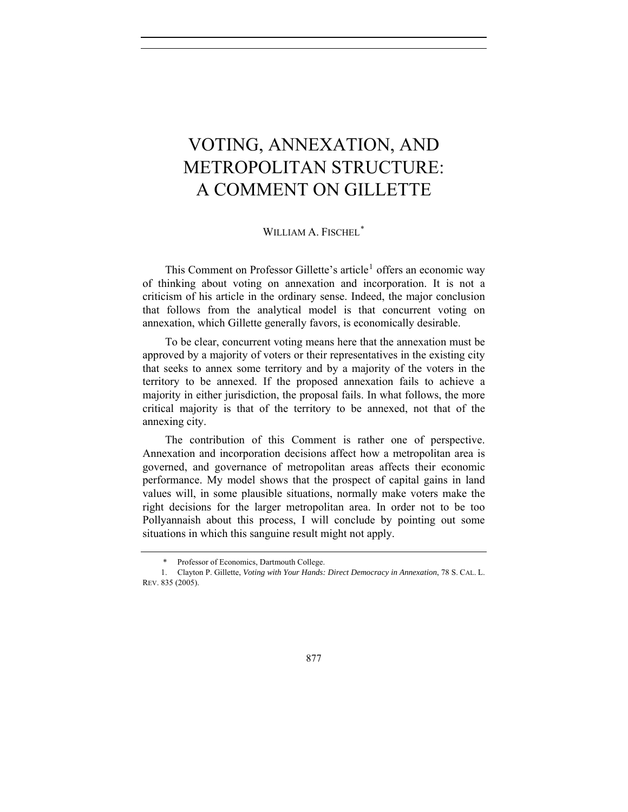## VOTING, ANNEXATION, AND METROPOLITAN STRUCTURE: A COMMENT ON GILLETTE

## WILLIAM A. FISCHEL<sup>[\\*](#page-0-0)</sup>

This Comment on Professor Gillette's article<sup>[1](#page-0-1)</sup> offers an economic way of thinking about voting on annexation and incorporation. It is not a criticism of his article in the ordinary sense. Indeed, the major conclusion that follows from the analytical model is that concurrent voting on annexation, which Gillette generally favors, is economically desirable.

To be clear, concurrent voting means here that the annexation must be approved by a majority of voters or their representatives in the existing city that seeks to annex some territory and by a majority of the voters in the territory to be annexed. If the proposed annexation fails to achieve a majority in either jurisdiction, the proposal fails. In what follows, the more critical majority is that of the territory to be annexed, not that of the annexing city.

The contribution of this Comment is rather one of perspective. Annexation and incorporation decisions affect how a metropolitan area is governed, and governance of metropolitan areas affects their economic performance. My model shows that the prospect of capital gains in land values will, in some plausible situations, normally make voters make the right decisions for the larger metropolitan area. In order not to be too Pollyannaish about this process, I will conclude by pointing out some situations in which this sanguine result might not apply.

 <sup>\*</sup> Professor of Economics, Dartmouth College.

<span id="page-0-1"></span><span id="page-0-0"></span><sup>1.</sup> Clayton P. Gillette, *Voting with Your Hands: Direct Democracy in Annexation*, 78 S. CAL. L. REV. 835 (2005).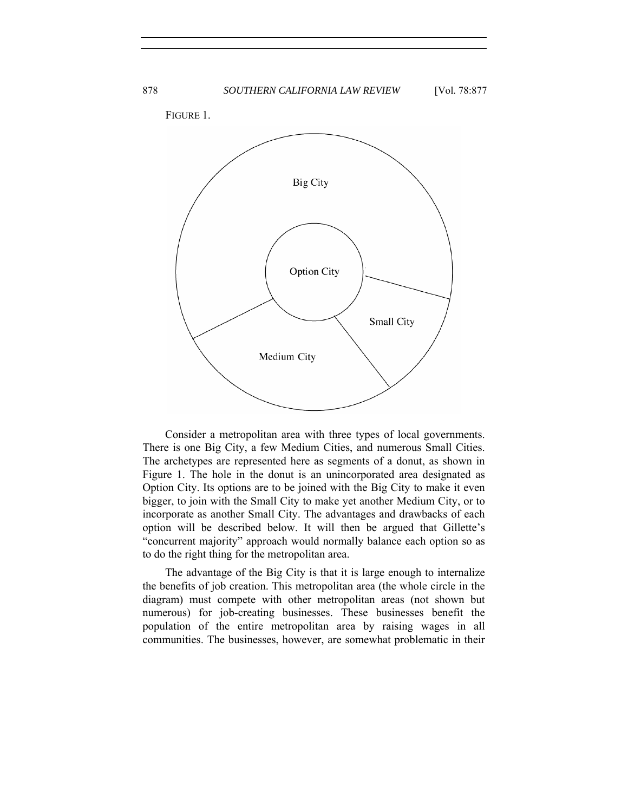

Consider a metropolitan area with three types of local governments. There is one Big City, a few Medium Cities, and numerous Small Cities. The archetypes are represented here as segments of a donut, as shown in Figure 1. The hole in the donut is an unincorporated area designated as Option City. Its options are to be joined with the Big City to make it even bigger, to join with the Small City to make yet another Medium City, or to incorporate as another Small City. The advantages and drawbacks of each option will be described below. It will then be argued that Gillette's "concurrent majority" approach would normally balance each option so as to do the right thing for the metropolitan area.

The advantage of the Big City is that it is large enough to internalize the benefits of job creation. This metropolitan area (the whole circle in the diagram) must compete with other metropolitan areas (not shown but numerous) for job-creating businesses. These businesses benefit the population of the entire metropolitan area by raising wages in all communities. The businesses, however, are somewhat problematic in their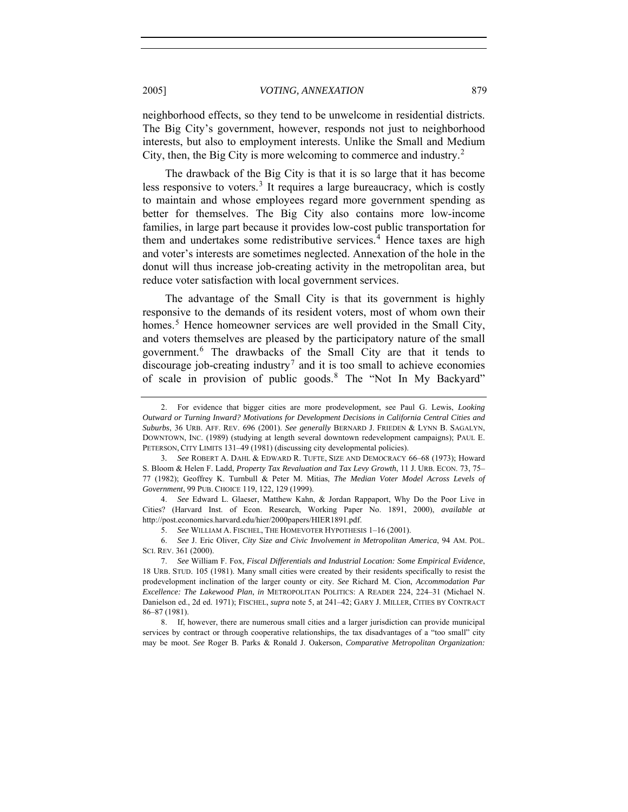2005] *VOTING, ANNEXATION* 879

neighborhood effects, so they tend to be unwelcome in residential districts. The Big City's government, however, responds not just to neighborhood interests, but also to employment interests. Unlike the Small and Medium City, then, the Big City is more welcoming to commerce and industry.<sup>[2](#page-2-0)</sup>

The drawback of the Big City is that it is so large that it has become less responsive to voters.<sup>[3](#page-2-1)</sup> It requires a large bureaucracy, which is costly to maintain and whose employees regard more government spending as better for themselves. The Big City also contains more low-income families, in large part because it provides low-cost public transportation for them and undertakes some redistributive services.<sup>[4](#page-2-2)</sup> Hence taxes are high and voter's interests are sometimes neglected. Annexation of the hole in the donut will thus increase job-creating activity in the metropolitan area, but reduce voter satisfaction with local government services.

The advantage of the Small City is that its government is highly responsive to the demands of its resident voters, most of whom own their homes.<sup>[5](#page-2-3)</sup> Hence homeowner services are well provided in the Small City, and voters themselves are pleased by the participatory nature of the small government.[6](#page-2-4) The drawbacks of the Small City are that it tends to discourage job-creating industry<sup>[7](#page-2-5)</sup> and it is too small to achieve economies of scale in provision of public goods.[8](#page-2-6) The "Not In My Backyard"

<span id="page-2-0"></span><sup>2.</sup> For evidence that bigger cities are more prodevelopment, see Paul G. Lewis, *Looking Outward or Turning Inward? Motivations for Development Decisions in California Central Cities and Suburbs*, 36 URB. AFF. REV. 696 (2001). *See generally* BERNARD J. FRIEDEN & LYNN B. SAGALYN, DOWNTOWN, INC. (1989) (studying at length several downtown redevelopment campaigns); PAUL E. PETERSON, CITY LIMITS 131–49 (1981) (discussing city developmental policies).

<span id="page-2-1"></span><sup>3</sup>*. See* ROBERT A. DAHL & EDWARD R. TUFTE, SIZE AND DEMOCRACY 66–68 (1973); Howard S. Bloom & Helen F. Ladd, *Property Tax Revaluation and Tax Levy Growth*, 11 J. URB. ECON. 73, 75– 77 (1982); Geoffrey K. Turnbull & Peter M. Mitias, *The Median Voter Model Across Levels of Government*, 99 PUB. CHOICE 119, 122, 129 (1999).

<span id="page-2-2"></span><sup>4.</sup> *See* Edward L. Glaeser, Matthew Kahn, & Jordan Rappaport, Why Do the Poor Live in Cities? (Harvard Inst. of Econ. Research, Working Paper No. 1891, 2000), *available at* http://post.economics.harvard.edu/hier/2000papers/HIER1891.pdf.

<sup>5.</sup> *See* WILLIAM A. FISCHEL, THE HOMEVOTER HYPOTHESIS 1–16 (2001).

<span id="page-2-4"></span><span id="page-2-3"></span><sup>6.</sup> *See* J. Eric Oliver, *City Size and Civic Involvement in Metropolitan America*, 94 AM. POL. SCI. REV. 361 (2000).

<span id="page-2-5"></span><sup>7.</sup> *See* William F. Fox, *Fiscal Differentials and Industrial Location: Some Empirical Evidence*, 18 URB. STUD. 105 (1981). Many small cities were created by their residents specifically to resist the prodevelopment inclination of the larger county or city. *See* Richard M. Cion, *Accommodation Par Excellence: The Lakewood Plan*, *in* METROPOLITAN POLITICS: A READER 224, 224–31 (Michael N. Danielson ed., 2d ed. 1971); FISCHEL, *supra* note 5, at 241–42; GARY J. MILLER, CITIES BY CONTRACT 86–87 (1981).

<span id="page-2-6"></span><sup>8.</sup> If, however, there are numerous small cities and a larger jurisdiction can provide municipal services by contract or through cooperative relationships, the tax disadvantages of a "too small" city may be moot. *See* Roger B. Parks & Ronald J. Oakerson, *Comparative Metropolitan Organization:*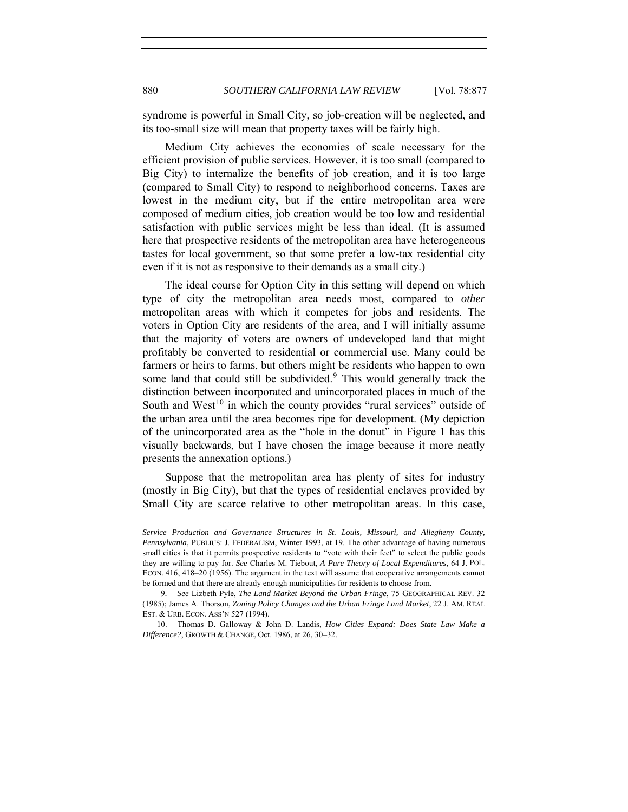syndrome is powerful in Small City, so job-creation will be neglected, and its too-small size will mean that property taxes will be fairly high.

Medium City achieves the economies of scale necessary for the efficient provision of public services. However, it is too small (compared to Big City) to internalize the benefits of job creation, and it is too large (compared to Small City) to respond to neighborhood concerns. Taxes are lowest in the medium city, but if the entire metropolitan area were composed of medium cities, job creation would be too low and residential satisfaction with public services might be less than ideal. (It is assumed here that prospective residents of the metropolitan area have heterogeneous tastes for local government, so that some prefer a low-tax residential city even if it is not as responsive to their demands as a small city.)

The ideal course for Option City in this setting will depend on which type of city the metropolitan area needs most, compared to *other* metropolitan areas with which it competes for jobs and residents. The voters in Option City are residents of the area, and I will initially assume that the majority of voters are owners of undeveloped land that might profitably be converted to residential or commercial use. Many could be farmers or heirs to farms, but others might be residents who happen to own some land that could still be subdivided.<sup>[9](#page-3-0)</sup> This would generally track the distinction between incorporated and unincorporated places in much of the South and West<sup>[10](#page-3-1)</sup> in which the county provides "rural services" outside of the urban area until the area becomes ripe for development. (My depiction of the unincorporated area as the "hole in the donut" in Figure 1 has this visually backwards, but I have chosen the image because it more neatly presents the annexation options.)

Suppose that the metropolitan area has plenty of sites for industry (mostly in Big City), but that the types of residential enclaves provided by Small City are scarce relative to other metropolitan areas. In this case,

*Service Production and Governance Structures in St. Louis, Missouri, and Allegheny County, Pennsylvania*, PUBLIUS: J. FEDERALISM, Winter 1993, at 19. The other advantage of having numerous small cities is that it permits prospective residents to "vote with their feet" to select the public goods they are willing to pay for. *See* Charles M. Tiebout, *A Pure Theory of Local Expenditures*, 64 J. POL. ECON. 416, 418–20 (1956). The argument in the text will assume that cooperative arrangements cannot be formed and that there are already enough municipalities for residents to choose from.

<span id="page-3-0"></span><sup>9</sup>*. See* Lizbeth Pyle, *The Land Market Beyond the Urban Fringe*, 75 GEOGRAPHICAL REV. 32 (1985); James A. Thorson, *Zoning Policy Changes and the Urban Fringe Land Market*, 22 J. AM. REAL EST. & URB. ECON. ASS'N 527 (1994).

<span id="page-3-1"></span><sup>10.</sup> Thomas D. Galloway & John D. Landis, *How Cities Expand: Does State Law Make a Difference?*, GROWTH & CHANGE, Oct. 1986, at 26, 30–32.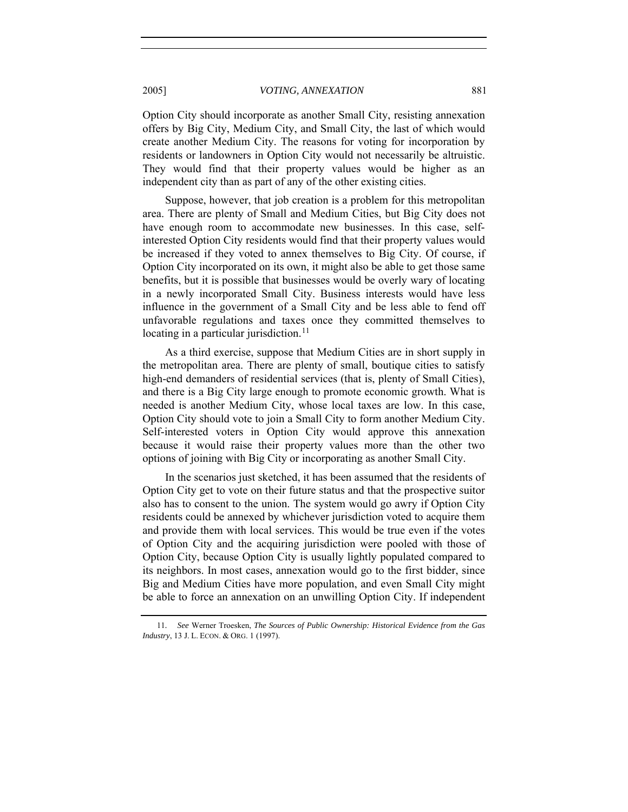2005] *VOTING, ANNEXATION* 881

Option City should incorporate as another Small City, resisting annexation offers by Big City, Medium City, and Small City, the last of which would create another Medium City. The reasons for voting for incorporation by residents or landowners in Option City would not necessarily be altruistic. They would find that their property values would be higher as an independent city than as part of any of the other existing cities.

Suppose, however, that job creation is a problem for this metropolitan area. There are plenty of Small and Medium Cities, but Big City does not have enough room to accommodate new businesses. In this case, selfinterested Option City residents would find that their property values would be increased if they voted to annex themselves to Big City. Of course, if Option City incorporated on its own, it might also be able to get those same benefits, but it is possible that businesses would be overly wary of locating in a newly incorporated Small City. Business interests would have less influence in the government of a Small City and be less able to fend off unfavorable regulations and taxes once they committed themselves to locating in a particular jurisdiction.<sup>[11](#page-4-0)</sup>

As a third exercise, suppose that Medium Cities are in short supply in the metropolitan area. There are plenty of small, boutique cities to satisfy high-end demanders of residential services (that is, plenty of Small Cities), and there is a Big City large enough to promote economic growth. What is needed is another Medium City, whose local taxes are low. In this case, Option City should vote to join a Small City to form another Medium City. Self-interested voters in Option City would approve this annexation because it would raise their property values more than the other two options of joining with Big City or incorporating as another Small City.

In the scenarios just sketched, it has been assumed that the residents of Option City get to vote on their future status and that the prospective suitor also has to consent to the union. The system would go awry if Option City residents could be annexed by whichever jurisdiction voted to acquire them and provide them with local services. This would be true even if the votes of Option City and the acquiring jurisdiction were pooled with those of Option City, because Option City is usually lightly populated compared to its neighbors. In most cases, annexation would go to the first bidder, since Big and Medium Cities have more population, and even Small City might be able to force an annexation on an unwilling Option City. If independent

<span id="page-4-0"></span><sup>11</sup>*. See* Werner Troesken, *The Sources of Public Ownership: Historical Evidence from the Gas Industry*, 13 J. L. ECON. & ORG. 1 (1997).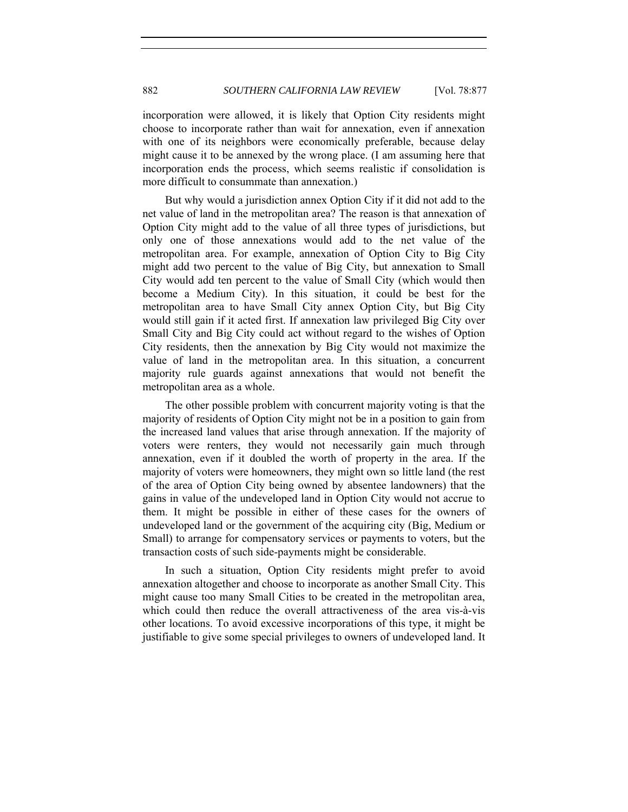incorporation were allowed, it is likely that Option City residents might choose to incorporate rather than wait for annexation, even if annexation with one of its neighbors were economically preferable, because delay might cause it to be annexed by the wrong place. (I am assuming here that incorporation ends the process, which seems realistic if consolidation is more difficult to consummate than annexation.)

But why would a jurisdiction annex Option City if it did not add to the net value of land in the metropolitan area? The reason is that annexation of Option City might add to the value of all three types of jurisdictions, but only one of those annexations would add to the net value of the metropolitan area. For example, annexation of Option City to Big City might add two percent to the value of Big City, but annexation to Small City would add ten percent to the value of Small City (which would then become a Medium City). In this situation, it could be best for the metropolitan area to have Small City annex Option City, but Big City would still gain if it acted first. If annexation law privileged Big City over Small City and Big City could act without regard to the wishes of Option City residents, then the annexation by Big City would not maximize the value of land in the metropolitan area. In this situation, a concurrent majority rule guards against annexations that would not benefit the metropolitan area as a whole.

The other possible problem with concurrent majority voting is that the majority of residents of Option City might not be in a position to gain from the increased land values that arise through annexation. If the majority of voters were renters, they would not necessarily gain much through annexation, even if it doubled the worth of property in the area. If the majority of voters were homeowners, they might own so little land (the rest of the area of Option City being owned by absentee landowners) that the gains in value of the undeveloped land in Option City would not accrue to them. It might be possible in either of these cases for the owners of undeveloped land or the government of the acquiring city (Big, Medium or Small) to arrange for compensatory services or payments to voters, but the transaction costs of such side-payments might be considerable.

In such a situation, Option City residents might prefer to avoid annexation altogether and choose to incorporate as another Small City. This might cause too many Small Cities to be created in the metropolitan area, which could then reduce the overall attractiveness of the area vis-à-vis other locations. To avoid excessive incorporations of this type, it might be justifiable to give some special privileges to owners of undeveloped land. It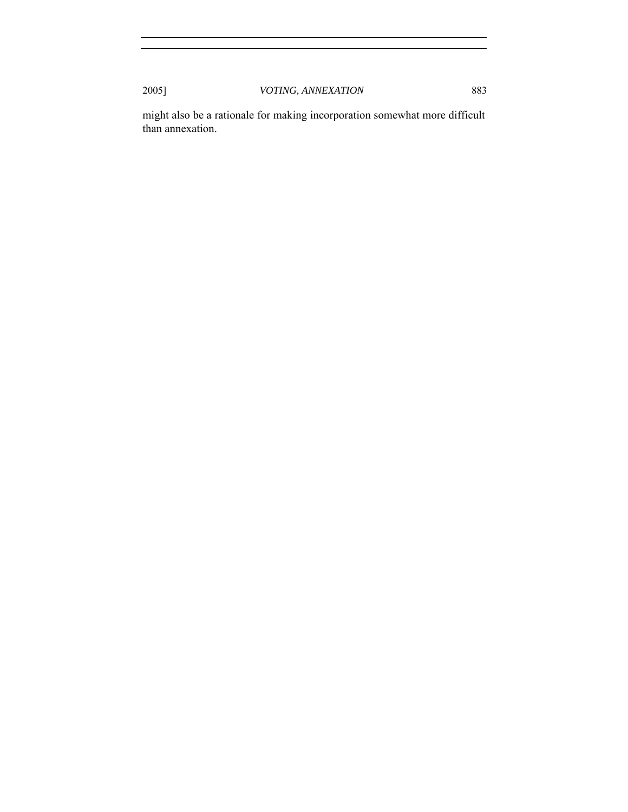might also be a rationale for making incorporation somewhat more difficult than annexation.